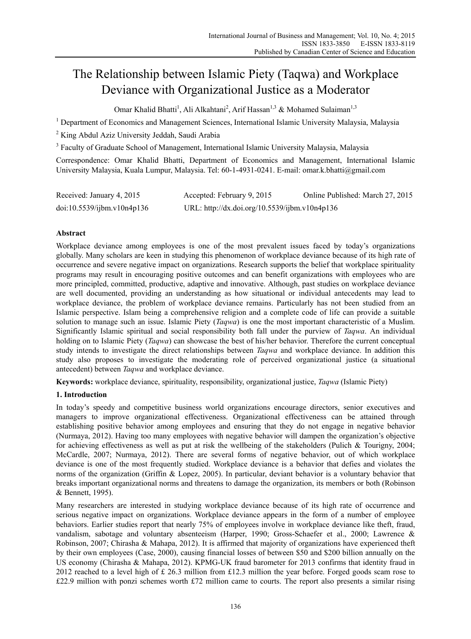# The Relationship between Islamic Piety (Taqwa) and Workplace Deviance with Organizational Justice as a Moderator

Omar Khalid Bhatti<sup>1</sup>, Ali Alkahtani<sup>2</sup>, Arif Hassan<sup>1,3</sup> & Mohamed Sulaiman<sup>1,3</sup>

<sup>1</sup> Department of Economics and Management Sciences, International Islamic University Malaysia, Malaysia

<sup>2</sup> King Abdul Aziz University Jeddah, Saudi Arabia

<sup>3</sup> Faculty of Graduate School of Management, International Islamic University Malaysia, Malaysia

Correspondence: Omar Khalid Bhatti, Department of Economics and Management, International Islamic University Malaysia, Kuala Lumpur, Malaysia. Tel: 60-1-4931-0241. E-mail: omar.k.bhatti@gmail.com

| Received: January 4, 2015  | Accepted: February 9, 2015                    | Online Published: March 27, 2015 |
|----------------------------|-----------------------------------------------|----------------------------------|
| doi:10.5539/ijbm.v10n4p136 | URL: http://dx.doi.org/10.5539/ijbm.v10n4p136 |                                  |

# **Abstract**

Workplace deviance among employees is one of the most prevalent issues faced by today's organizations globally. Many scholars are keen in studying this phenomenon of workplace deviance because of its high rate of occurrence and severe negative impact on organizations. Research supports the belief that workplace spirituality programs may result in encouraging positive outcomes and can benefit organizations with employees who are more principled, committed, productive, adaptive and innovative. Although, past studies on workplace deviance are well documented, providing an understanding as how situational or individual antecedents may lead to workplace deviance, the problem of workplace deviance remains. Particularly has not been studied from an Islamic perspective. Islam being a comprehensive religion and a complete code of life can provide a suitable solution to manage such an issue. Islamic Piety (*Taqwa*) is one the most important characteristic of a Muslim. Significantly Islamic spiritual and social responsibility both fall under the purview of *Taqwa*. An individual holding on to Islamic Piety (*Taqwa*) can showcase the best of his/her behavior. Therefore the current conceptual study intends to investigate the direct relationships between *Taqwa* and workplace deviance. In addition this study also proposes to investigate the moderating role of perceived organizational justice (a situational antecedent) between *Taqwa* and workplace deviance.

**Keywords:** workplace deviance, spirituality, responsibility, organizational justice, *Taqwa* (Islamic Piety)

# **1. Introduction**

In today's speedy and competitive business world organizations encourage directors, senior executives and managers to improve organizational effectiveness. Organizational effectiveness can be attained through establishing positive behavior among employees and ensuring that they do not engage in negative behavior (Nurmaya, 2012). Having too many employees with negative behavior will dampen the organization's objective for achieving effectiveness as well as put at risk the wellbeing of the stakeholders (Pulich & Tourigny, 2004; McCardle, 2007; Nurmaya, 2012). There are several forms of negative behavior, out of which workplace deviance is one of the most frequently studied. Workplace deviance is a behavior that defies and violates the norms of the organization (Griffin & Lopez, 2005). In particular, deviant behavior is a voluntary behavior that breaks important organizational norms and threatens to damage the organization, its members or both (Robinson & Bennett, 1995).

Many researchers are interested in studying workplace deviance because of its high rate of occurrence and serious negative impact on organizations. Workplace deviance appears in the form of a number of employee behaviors. Earlier studies report that nearly 75% of employees involve in workplace deviance like theft, fraud, vandalism, sabotage and voluntary absenteeism (Harper, 1990; Gross-Schaefer et al., 2000; Lawrence & Robinson, 2007; Chirasha & Mahapa, 2012). It is affirmed that majority of organizations have experienced theft by their own employees (Case, 2000), causing financial losses of between \$50 and \$200 billion annually on the US economy (Chirasha & Mahapa, 2012). KPMG-UK fraud barometer for 2013 confirms that identity fraud in 2012 reached to a level high of £ 26.3 million from £12.3 million the year before. Forged goods scam rose to £22.9 million with ponzi schemes worth £72 million came to courts. The report also presents a similar rising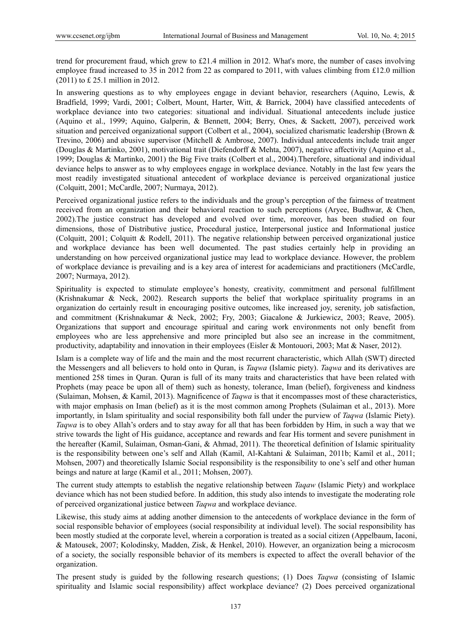trend for procurement fraud, which grew to £21.4 million in 2012. What's more, the number of cases involving employee fraud increased to 35 in 2012 from 22 as compared to 2011, with values climbing from £12.0 million (2011) to £ 25.1 million in 2012.

In answering questions as to why employees engage in deviant behavior, researchers (Aquino, Lewis, & Bradfield, 1999; Vardi, 2001; Colbert, Mount, Harter, Witt, & Barrick, 2004) have classified antecedents of workplace deviance into two categories: situational and individual. Situational antecedents include justice (Aquino et al., 1999; Aquino, Galperin, & Bennett, 2004; Berry, Ones, & Sackett, 2007), perceived work situation and perceived organizational support (Colbert et al., 2004), socialized charismatic leadership (Brown & Trevino, 2006) and abusive supervisor (Mitchell & Ambrose, 2007). Individual antecedents include trait anger (Douglas & Martinko, 2001), motivational trait (Diefendorff & Mehta, 2007), negative affectivity (Aquino et al., 1999; Douglas & Martinko, 2001) the Big Five traits (Colbert et al., 2004).Therefore, situational and individual deviance helps to answer as to why employees engage in workplace deviance. Notably in the last few years the most readily investigated situational antecedent of workplace deviance is perceived organizational justice (Colquitt, 2001; McCardle, 2007; Nurmaya, 2012).

Perceived organizational justice refers to the individuals and the group's perception of the fairness of treatment received from an organization and their behavioral reaction to such perceptions (Aryee, Budhwar, & Chen, 2002).The justice construct has developed and evolved over time, moreover, has been studied on four dimensions, those of Distributive justice, Procedural justice, Interpersonal justice and Informational justice (Colquitt, 2001; Colquitt & Rodell, 2011). The negative relationship between perceived organizational justice and workplace deviance has been well documented. The past studies certainly help in providing an understanding on how perceived organizational justice may lead to workplace deviance. However, the problem of workplace deviance is prevailing and is a key area of interest for academicians and practitioners (McCardle, 2007; Nurmaya, 2012).

Spirituality is expected to stimulate employee's honesty, creativity, commitment and personal fulfillment (Krishnakumar & Neck, 2002). Research supports the belief that workplace spirituality programs in an organization do certainly result in encouraging positive outcomes, like increased joy, serenity, job satisfaction, and commitment (Krishnakumar & Neck, 2002; Fry, 2003; Giacalone & Jurkiewicz, 2003; Reave, 2005). Organizations that support and encourage spiritual and caring work environments not only benefit from employees who are less apprehensive and more principled but also see an increase in the commitment, productivity, adaptability and innovation in their employees (Eisler & Montouori, 2003; Mat & Naser, 2012).

Islam is a complete way of life and the main and the most recurrent characteristic, which Allah (SWT) directed the Messengers and all believers to hold onto in Quran, is *Taqwa* (Islamic piety). *Taqwa* and its derivatives are mentioned 258 times in Quran. Quran is full of its many traits and characteristics that have been related with Prophets (may peace be upon all of them) such as honesty, tolerance, Iman (belief), forgiveness and kindness (Sulaiman, Mohsen, & Kamil, 2013). Magnificence of *Taqwa* is that it encompasses most of these characteristics, with major emphasis on Iman (belief) as it is the most common among Prophets (Sulaiman et al., 2013). More importantly, in Islam spirituality and social responsibility both fall under the purview of *Taqwa* (Islamic Piety). *Taqwa* is to obey Allah's orders and to stay away for all that has been forbidden by Him, in such a way that we strive towards the light of His guidance, acceptance and rewards and fear His torment and severe punishment in the hereafter (Kamil, Sulaiman, Osman-Gani, & Ahmad, 2011). The theoretical definition of Islamic spirituality is the responsibility between one's self and Allah (Kamil, Al-Kahtani & Sulaiman, 2011b; Kamil et al., 2011; Mohsen, 2007) and theoretically Islamic Social responsibility is the responsibility to one's self and other human beings and nature at large (Kamil et al., 2011; Mohsen, 2007).

The current study attempts to establish the negative relationship between *Taqaw* (Islamic Piety) and workplace deviance which has not been studied before. In addition, this study also intends to investigate the moderating role of perceived organizational justice between *Taqwa* and workplace deviance.

Likewise, this study aims at adding another dimension to the antecedents of workplace deviance in the form of social responsible behavior of employees (social responsibility at individual level). The social responsibility has been mostly studied at the corporate level, wherein a corporation is treated as a social citizen (Appelbaum, Iaconi, & Matousek, 2007; Kolodinsky, Madden, Zisk, & Henkel, 2010). However, an organization being a microcosm of a society, the socially responsible behavior of its members is expected to affect the overall behavior of the organization.

The present study is guided by the following research questions; (1) Does *Taqwa* (consisting of Islamic spirituality and Islamic social responsibility) affect workplace deviance? (2) Does perceived organizational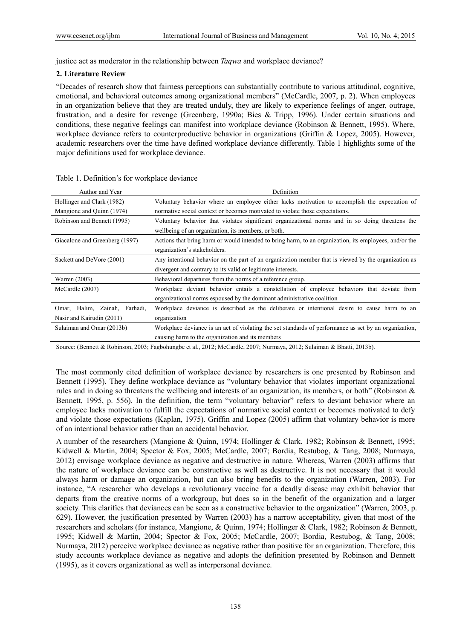justice act as moderator in the relationship between *Taqwa* and workplace deviance?

#### **2. Literature Review**

"Decades of research show that fairness perceptions can substantially contribute to various attitudinal, cognitive, emotional, and behavioral outcomes among organizational members" (McCardle, 2007, p. 2). When employees in an organization believe that they are treated unduly, they are likely to experience feelings of anger, outrage, frustration, and a desire for revenge (Greenberg, 1990a; Bies & Tripp, 1996). Under certain situations and conditions, these negative feelings can manifest into workplace deviance (Robinson & Bennett, 1995). Where, workplace deviance refers to counterproductive behavior in organizations (Griffin & Lopez, 2005). However, academic researchers over the time have defined workplace deviance differently. Table 1 highlights some of the major definitions used for workplace deviance.

| Author and Year                | Definition                                                                                             |  |  |
|--------------------------------|--------------------------------------------------------------------------------------------------------|--|--|
| Hollinger and Clark (1982)     | Voluntary behavior where an employee either lacks motivation to accomplish the expectation of          |  |  |
| Mangione and Quinn (1974)      | normative social context or becomes motivated to violate those expectations.                           |  |  |
| Robinson and Bennett (1995)    | Voluntary behavior that violates significant organizational norms and in so doing threatens the        |  |  |
|                                | wellbeing of an organization, its members, or both.                                                    |  |  |
| Giacalone and Greenberg (1997) | Actions that bring harm or would intended to bring harm, to an organization, its employees, and/or the |  |  |
|                                | organization's stakeholders.                                                                           |  |  |
| Sackett and DeVore (2001)      | Any intentional behavior on the part of an organization member that is viewed by the organization as   |  |  |
|                                | divergent and contrary to its valid or legitimate interests.                                           |  |  |
| Warren $(2003)$                | Behavioral departures from the norms of a reference group.                                             |  |  |
| McCardle (2007)                | Workplace deviant behavior entails a constellation of employee behaviors that deviate from             |  |  |
|                                | organizational norms espoused by the dominant administrative coalition                                 |  |  |
| Omar, Halim, Zainah, Farhadi,  | Workplace deviance is described as the deliberate or intentional desire to cause harm to an            |  |  |
| Nasir and Kairudin (2011)      | organization                                                                                           |  |  |
| Sulaiman and Omar (2013b)      | Workplace deviance is an act of violating the set standards of performance as set by an organization,  |  |  |
|                                | causing harm to the organization and its members                                                       |  |  |

Table 1. Definition's for workplace deviance

Source: (Bennett & Robinson, 2003; Fagbohungbe et al., 2012; McCardle, 2007; Nurmaya, 2012; Sulaiman & Bhatti, 2013b).

The most commonly cited definition of workplace deviance by researchers is one presented by Robinson and Bennett (1995). They define workplace deviance as "voluntary behavior that violates important organizational rules and in doing so threatens the wellbeing and interests of an organization, its members, or both" (Robinson & Bennett, 1995, p. 556). In the definition, the term "voluntary behavior" refers to deviant behavior where an employee lacks motivation to fulfill the expectations of normative social context or becomes motivated to defy and violate those expectations (Kaplan, 1975). Griffin and Lopez (2005) affirm that voluntary behavior is more of an intentional behavior rather than an accidental behavior.

A number of the researchers (Mangione & Quinn, 1974; Hollinger & Clark, 1982; Robinson & Bennett, 1995; Kidwell & Martin, 2004; Spector & Fox, 2005; McCardle, 2007; Bordia, Restubog, & Tang, 2008; Nurmaya, 2012) envisage workplace deviance as negative and destructive in nature. Whereas, Warren (2003) affirms that the nature of workplace deviance can be constructive as well as destructive. It is not necessary that it would always harm or damage an organization, but can also bring benefits to the organization (Warren, 2003). For instance, "A researcher who develops a revolutionary vaccine for a deadly disease may exhibit behavior that departs from the creative norms of a workgroup, but does so in the benefit of the organization and a larger society. This clarifies that deviances can be seen as a constructive behavior to the organization" (Warren, 2003, p. 629). However, the justification presented by Warren (2003) has a narrow acceptability, given that most of the researchers and scholars (for instance, Mangione, & Quinn, 1974; Hollinger & Clark, 1982; Robinson & Bennett, 1995; Kidwell & Martin, 2004; Spector & Fox, 2005; McCardle, 2007; Bordia, Restubog, & Tang, 2008; Nurmaya, 2012) perceive workplace deviance as negative rather than positive for an organization. Therefore, this study accounts workplace deviance as negative and adopts the definition presented by Robinson and Bennett (1995), as it covers organizational as well as interpersonal deviance.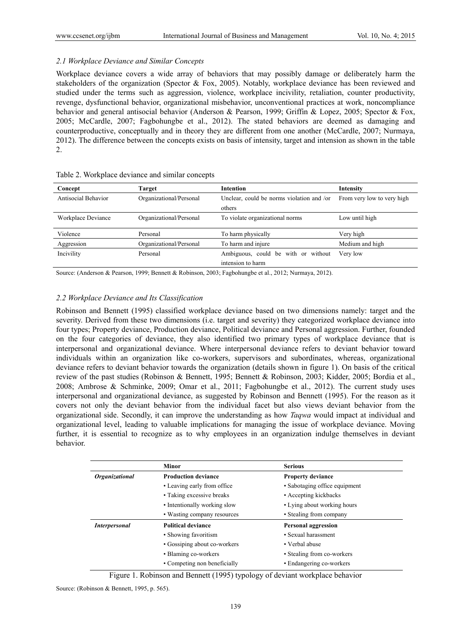## *2.1 Workplace Deviance and Similar Concepts*

Workplace deviance covers a wide array of behaviors that may possibly damage or deliberately harm the stakeholders of the organization (Spector & Fox, 2005). Notably, workplace deviance has been reviewed and studied under the terms such as aggression, violence, workplace incivility, retaliation, counter productivity, revenge, dysfunctional behavior, organizational misbehavior, unconventional practices at work, noncompliance behavior and general antisocial behavior (Anderson & Pearson, 1999; Griffin & Lopez, 2005; Spector & Fox, 2005; McCardle, 2007; Fagbohungbe et al., 2012). The stated behaviors are deemed as damaging and counterproductive, conceptually and in theory they are different from one another (McCardle, 2007; Nurmaya, 2012). The difference between the concepts exists on basis of intensity, target and intension as shown in the table 2.

| Concept             | Target                  | Intention                                 | Intensity                  |
|---------------------|-------------------------|-------------------------------------------|----------------------------|
| Antisocial Behavior | Organizational/Personal | Unclear, could be norms violation and /or | From very low to very high |
|                     |                         | others                                    |                            |
| Workplace Deviance  | Organizational/Personal | To violate organizational norms           | Low until high             |
| Violence            | Personal                | To harm physically                        | Very high                  |
| Aggression          | Organizational/Personal | To harm and injure                        | Medium and high            |
| Incivility          | Personal                | Ambiguous, could be with or without       | Very low                   |
|                     |                         | intension to harm                         |                            |

#### Table 2. Workplace deviance and similar concepts

Source: (Anderson & Pearson, 1999; Bennett & Robinson, 2003; Fagbohungbe et al., 2012; Nurmaya, 2012).

#### *2.2 Workplace Deviance and Its Classification*

Robinson and Bennett (1995) classified workplace deviance based on two dimensions namely: target and the severity. Derived from these two dimensions (i.e. target and severity) they categorized workplace deviance into four types; Property deviance, Production deviance, Political deviance and Personal aggression. Further, founded on the four categories of deviance, they also identified two primary types of workplace deviance that is interpersonal and organizational deviance. Where interpersonal deviance refers to deviant behavior toward individuals within an organization like co-workers, supervisors and subordinates, whereas, organizational deviance refers to deviant behavior towards the organization (details shown in figure 1). On basis of the critical review of the past studies (Robinson & Bennett, 1995; Bennett & Robinson, 2003; Kidder, 2005; Bordia et al., 2008; Ambrose & Schminke, 2009; Omar et al., 2011; Fagbohungbe et al., 2012). The current study uses interpersonal and organizational deviance, as suggested by Robinson and Bennett (1995). For the reason as it covers not only the deviant behavior from the individual facet but also views deviant behavior from the organizational side. Secondly, it can improve the understanding as how *Taqwa* would impact at individual and organizational level, leading to valuable implications for managing the issue of workplace deviance. Moving further, it is essential to recognize as to why employees in an organization indulge themselves in deviant behavior.

|                                                            | Minor                        | <b>Serious</b>                |
|------------------------------------------------------------|------------------------------|-------------------------------|
| <b>Production deviance</b><br><i><b>Organizational</b></i> |                              | <b>Property deviance</b>      |
|                                                            | • Leaving early from office  | • Sabotaging office equipment |
|                                                            | • Taking excessive breaks    | • Accepting kickbacks         |
|                                                            | • Intentionally working slow | • Lying about working hours   |
|                                                            | • Wasting company resources  | • Stealing from company       |
| <b>Interpersonal</b>                                       | <b>Political deviance</b>    | <b>Personal aggression</b>    |
|                                                            | • Showing favoritism         | • Sexual harassment           |
|                                                            | • Gossiping about co-workers | • Verbal abuse                |
|                                                            | • Blaming co-workers         | • Stealing from co-workers    |
|                                                            | • Competing non beneficially | • Endangering co-workers      |

Figure 1. Robinson and Bennett (1995) typology of deviant workplace behavior

Source: (Robinson & Bennett, 1995, p. 565).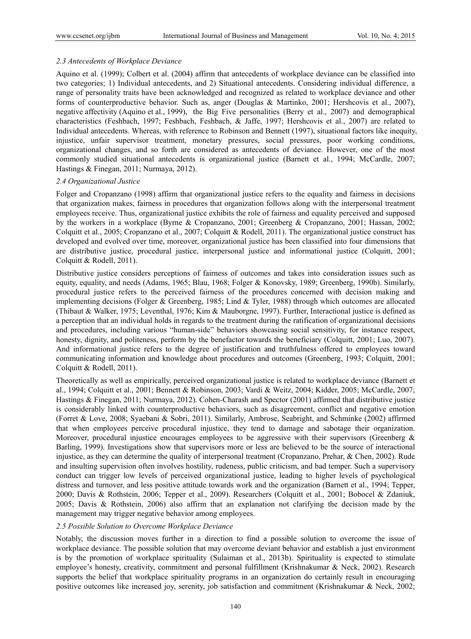# *2.3 Antecedents of Workplace Deviance*

Aquino et al. (1999); Colbert et al. (2004) affirm that antecedents of workplace deviance can be classified into two categories; 1) Individual antecedents, and 2) Situational antecedents. Considering individual difference, a range of personality traits have been acknowledged and recognized as related to workplace deviance and other forms of counterproductive behavior. Such as, anger (Douglas & Martinko, 2001; Hershcovis et al., 2007), negative affectivity (Aquino et al., 1999), the Big Five personalities (Berry et al., 2007) and demographical characteristics (Feshbach, 1997; Feshbach, Feshbach, & Jaffe, 1997; Hershcovis et al., 2007) are related to Individual antecedents. Whereas, with reference to Robinson and Bennett (1997), situational factors like inequity, injustice, unfair supervisor treatment, monetary pressures, social pressures, poor working conditions, organizational changes, and so forth are considered as antecedents of deviance. However, one of the most commonly studied situational antecedents is organizational justice (Barnett et al., 1994; McCardle, 2007; Hastings & Finegan, 2011; Nurmaya, 2012).

# *2.4 Organizational Justice*

Folger and Cropanzano (1998) affirm that organizational justice refers to the equality and fairness in decisions that organization makes, fairness in procedures that organization follows along with the interpersonal treatment employees receive. Thus, organizational justice exhibits the role of fairness and equality perceived and supposed by the workers in a workplace (Byrne & Cropanzano, 2001; Greenberg & Cropanzano, 2001; Hassan, 2002; Colquitt et al., 2005; Cropanzano et al., 2007; Colquitt & Rodell, 2011). The organizational justice construct has developed and evolved over time, moreover, organizational justice has been classified into four dimensions that are distributive justice, procedural justice, interpersonal justice and informational justice (Colquitt, 2001; Colquitt & Rodell, 2011).

Distributive justice considers perceptions of fairness of outcomes and takes into consideration issues such as equity, equality, and needs (Adams, 1965; Blau, 1968; Folger & Konovsky, 1989; Greenberg, 1990b). Similarly, procedural justice refers to the perceived fairness of the procedures concerned with decision making and implementing decisions (Folger & Greenberg, 1985; Lind & Tyler, 1988) through which outcomes are allocated (Thibaut & Walker, 1975; Leventhal, 1976; Kim & Mauborgne, 1997). Further, Interactional justice is defined as a perception that an individual holds in regards to the treatment during the ratification of organizational decisions and procedures, including various "human-side" behaviors showcasing social sensitivity, for instance respect, honesty, dignity, and politeness, perform by the benefactor towards the beneficiary (Colquitt, 2001; Luo, 2007). And informational justice refers to the degree of justification and truthfulness offered to employees toward communicating information and knowledge about procedures and outcomes (Greenberg, 1993; Colquitt, 2001; Colquitt & Rodell, 2011).

Theoretically as well as empirically, perceived organizational justice is related to workplace deviance (Barnett et al., 1994; Colquitt et al., 2001; Bennett & Robinson, 2003; Vardi & Weitz, 2004; Kidder, 2005; McCardle, 2007; Hastings & Finegan, 2011; Nurmaya, 2012). Cohen-Charash and Spector (2001) affirmed that distributive justice is considerably linked with counterproductive behaviors, such as disagreement, conflict and negative emotion (Forret & Love, 2008; Syaebani & Sobri, 2011). Similarly, Ambrose, Seabright, and Schminke (2002) affirmed that when employees perceive procedural injustice, they tend to damage and sabotage their organization. Moreover, procedural injustice encourages employees to be aggressive with their supervisors (Greenberg & Barling, 1999). Investigations show that supervisors more or less are believed to be the source of interactional injustice, as they can determine the quality of interpersonal treatment (Cropanzano, Prehar, & Chen, 2002). Rude and insulting supervision often involves hostility, rudeness, public criticism, and bad temper. Such a supervisory conduct can trigger low levels of perceived organizational justice, leading to higher levels of psychological distress and turnover, and less positive attitude towards work and the organization (Barnett et al., 1994; Tepper, 2000; Davis & Rothstein, 2006; Tepper et al., 2009). Researchers (Colquitt et al., 2001; Bobocel & Zdaniuk, 2005; Davis & Rothstein, 2006) also affirm that an explanation not clarifying the decision made by the management may trigger negative behavior among employees.

# *2.5 Possible Solution to Overcome Workplace Deviance*

Notably, the discussion moves further in a direction to find a possible solution to overcome the issue of workplace deviance. The possible solution that may overcome deviant behavior and establish a just environment is by the promotion of workplace spirituality (Sulaiman et al., 2013b). Spirituality is expected to stimulate employee's honesty, creativity, commitment and personal fulfillment (Krishnakumar & Neck, 2002). Research supports the belief that workplace spirituality programs in an organization do certainly result in encouraging positive outcomes like increased joy, serenity, job satisfaction and commitment (Krishnakumar & Neck, 2002;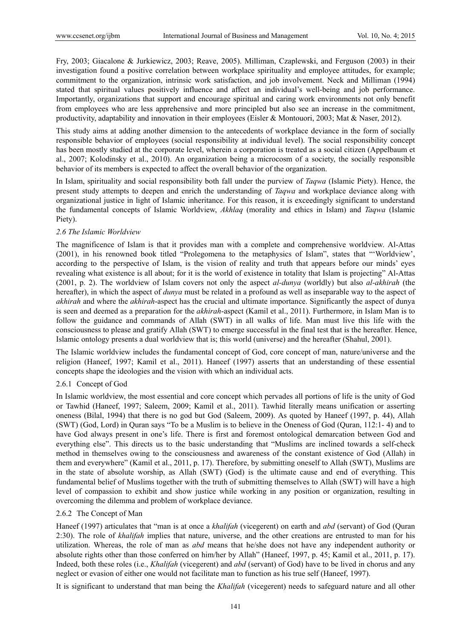Fry, 2003; Giacalone & Jurkiewicz, 2003; Reave, 2005). Milliman, Czaplewski, and Ferguson (2003) in their investigation found a positive correlation between workplace spirituality and employee attitudes, for example; commitment to the organization, intrinsic work satisfaction, and job involvement. Neck and Milliman (1994) stated that spiritual values positively influence and affect an individual's well-being and job performance. Importantly, organizations that support and encourage spiritual and caring work environments not only benefit from employees who are less apprehensive and more principled but also see an increase in the commitment, productivity, adaptability and innovation in their employees (Eisler & Montouori, 2003; Mat & Naser, 2012).

This study aims at adding another dimension to the antecedents of workplace deviance in the form of socially responsible behavior of employees (social responsibility at individual level). The social responsibility concept has been mostly studied at the corporate level, wherein a corporation is treated as a social citizen (Appelbaum et al., 2007; Kolodinsky et al., 2010). An organization being a microcosm of a society, the socially responsible behavior of its members is expected to affect the overall behavior of the organization.

In Islam, spirituality and social responsibility both fall under the purview of *Taqwa* (Islamic Piety). Hence, the present study attempts to deepen and enrich the understanding of *Taqwa* and workplace deviance along with organizational justice in light of Islamic inheritance. For this reason, it is exceedingly significant to understand the fundamental concepts of Islamic Worldview, *Akhlaq* (morality and ethics in Islam) and *Taqwa* (Islamic Piety).

### *2.6 The Islamic Worldview*

The magnificence of Islam is that it provides man with a complete and comprehensive worldview. Al-Attas (2001), in his renowned book titled "Prolegomena to the metaphysics of Islam", states that "'Worldview', according to the perspective of Islam, is the vision of reality and truth that appears before our minds' eyes revealing what existence is all about; for it is the world of existence in totality that Islam is projecting" Al-Attas (2001, p. 2). The worldview of Islam covers not only the aspect *al-dunya* (worldly) but also *al-akhirah* (the hereafter), in which the aspect of *dunya* must be related in a profound as well as inseparable way to the aspect of *akhirah* and where the *akhirah*-aspect has the crucial and ultimate importance. Significantly the aspect of dunya is seen and deemed as a preparation for the *akhirah*-aspect (Kamil et al., 2011). Furthermore, in Islam Man is to follow the guidance and commands of Allah (SWT) in all walks of life. Man must live this life with the consciousness to please and gratify Allah (SWT) to emerge successful in the final test that is the hereafter. Hence, Islamic ontology presents a dual worldview that is; this world (universe) and the hereafter (Shahul, 2001).

The Islamic worldview includes the fundamental concept of God, core concept of man, nature/universe and the religion (Haneef, 1997; Kamil et al., 2011). Haneef (1997) asserts that an understanding of these essential concepts shape the ideologies and the vision with which an individual acts.

# 2.6.1 Concept of God

In Islamic worldview, the most essential and core concept which pervades all portions of life is the unity of God or Tawhid (Haneef, 1997; Saleem, 2009; Kamil et al., 2011). Tawhid literally means unification or asserting oneness (Bilal, 1994) that there is no god but God (Saleem, 2009). As quoted by Haneef (1997, p. 44), Allah (SWT) (God, Lord) in Quran says "To be a Muslim is to believe in the Oneness of God (Quran, 112:1- 4) and to have God always present in one's life. There is first and foremost ontological demarcation between God and everything else". This directs us to the basic understanding that "Muslims are inclined towards a self-check method in themselves owing to the consciousness and awareness of the constant existence of God (Allah) in them and everywhere" (Kamil et al., 2011, p. 17). Therefore, by submitting oneself to Allah (SWT), Muslims are in the state of absolute worship, as Allah (SWT) (God) is the ultimate cause and end of everything. This fundamental belief of Muslims together with the truth of submitting themselves to Allah (SWT) will have a high level of compassion to exhibit and show justice while working in any position or organization, resulting in overcoming the dilemma and problem of workplace deviance.

#### 2.6.2 The Concept of Man

Haneef (1997) articulates that "man is at once a *khalifah* (vicegerent) on earth and *abd* (servant) of God (Quran 2:30). The role of *khalifah* implies that nature, universe, and the other creations are entrusted to man for his utilization. Whereas, the role of man as *abd* means that he/she does not have any independent authority or absolute rights other than those conferred on him/her by Allah" (Haneef, 1997, p. 45; Kamil et al., 2011, p. 17). Indeed, both these roles (i.e., *Khalifah* (vicegerent) and *abd* (servant) of God) have to be lived in chorus and any neglect or evasion of either one would not facilitate man to function as his true self (Haneef, 1997).

It is significant to understand that man being the *Khalifah* (vicegerent) needs to safeguard nature and all other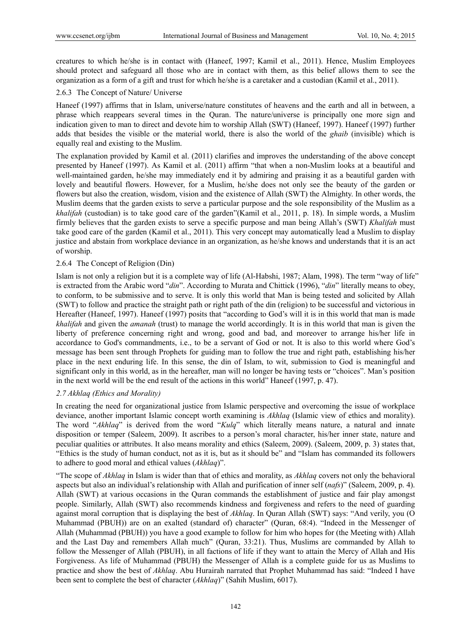creatures to which he/she is in contact with (Haneef, 1997; Kamil et al., 2011). Hence, Muslim Employees should protect and safeguard all those who are in contact with them, as this belief allows them to see the organization as a form of a gift and trust for which he/she is a caretaker and a custodian (Kamil et al., 2011).

# 2.6.3 The Concept of Nature/ Universe

Haneef (1997) affirms that in Islam, universe/nature constitutes of heavens and the earth and all in between, a phrase which reappears several times in the Quran. The nature/universe is principally one more sign and indication given to man to direct and devote him to worship Allah (SWT) (Haneef, 1997). Haneef (1997) further adds that besides the visible or the material world, there is also the world of the *ghaib* (invisible) which is equally real and existing to the Muslim.

The explanation provided by Kamil et al. (2011) clarifies and improves the understanding of the above concept presented by Haneef (1997). As Kamil et al. (2011) affirm "that when a non-Muslim looks at a beautiful and well-maintained garden, he/she may immediately end it by admiring and praising it as a beautiful garden with lovely and beautiful flowers. However, for a Muslim, he/she does not only see the beauty of the garden or flowers but also the creation, wisdom, vision and the existence of Allah (SWT) the Almighty. In other words, the Muslim deems that the garden exists to serve a particular purpose and the sole responsibility of the Muslim as a *khalifah* (custodian) is to take good care of the garden"(Kamil et al., 2011, p. 18). In simple words, a Muslim firmly believes that the garden exists to serve a specific purpose and man being Allah's (SWT) *Khalifah* must take good care of the garden (Kamil et al., 2011). This very concept may automatically lead a Muslim to display justice and abstain from workplace deviance in an organization, as he/she knows and understands that it is an act of worship.

# 2.6.4 The Concept of Religion (Din)

Islam is not only a religion but it is a complete way of life (Al-Habshi, 1987; Alam, 1998). The term "way of life" is extracted from the Arabic word "*din*". According to Murata and Chittick (1996), "*din*" literally means to obey, to conform, to be submissive and to serve. It is only this world that Man is being tested and solicited by Allah (SWT) to follow and practice the straight path or right path of the din (religion) to be successful and victorious in Hereafter (Haneef, 1997). Haneef (1997) posits that "according to God's will it is in this world that man is made *khalifah* and given the *amanah* (trust) to manage the world accordingly. It is in this world that man is given the liberty of preference concerning right and wrong, good and bad, and moreover to arrange his/her life in accordance to God's commandments, i.e., to be a servant of God or not. It is also to this world where God's message has been sent through Prophets for guiding man to follow the true and right path, establishing his/her place in the next enduring life. In this sense, the din of Islam, to wit, submission to God is meaningful and significant only in this world, as in the hereafter, man will no longer be having tests or "choices". Man's position in the next world will be the end result of the actions in this world" Haneef (1997, p. 47).

# *2.7 Akhlaq (Ethics and Morality)*

In creating the need for organizational justice from Islamic perspective and overcoming the issue of workplace deviance, another important Islamic concept worth examining is *Akhlaq* (Islamic view of ethics and morality). The word "*Akhlaq*" is derived from the word "*Kulq*" which literally means nature, a natural and innate disposition or temper (Saleem, 2009). It ascribes to a person's moral character, his/her inner state, nature and peculiar qualities or attributes. It also means morality and ethics (Saleem, 2009). (Saleem, 2009, p. 3) states that, "Ethics is the study of human conduct, not as it is, but as it should be" and "Islam has commanded its followers to adhere to good moral and ethical values (*Akhlaq*)".

"The scope of *Akhlaq* in Islam is wider than that of ethics and morality, as *Akhlaq* covers not only the behavioral aspects but also an individual's relationship with Allah and purification of inner self (*nafs*)" (Saleem, 2009, p. 4). Allah (SWT) at various occasions in the Quran commands the establishment of justice and fair play amongst people. Similarly, Allah (SWT) also recommends kindness and forgiveness and refers to the need of guarding against moral corruption that is displaying the best of *Akhlaq*. In Quran Allah (SWT) says: "And verily, you (O Muhammad (PBUH)) are on an exalted (standard of) character" (Quran, 68:4). "Indeed in the Messenger of Allah (Muhammad (PBUH)) you have a good example to follow for him who hopes for (the Meeting with) Allah and the Last Day and remembers Allah much" (Quran, 33:21). Thus, Muslims are commanded by Allah to follow the Messenger of Allah (PBUH), in all factions of life if they want to attain the Mercy of Allah and His Forgiveness. As life of Muhammad (PBUH) the Messenger of Allah is a complete guide for us as Muslims to practice and show the best of *Akhlaq*. Abu Hurairah narrated that Prophet Muhammad has said: "Indeed I have been sent to complete the best of character (*Akhlaq*)" (Sahih Muslim, 6017).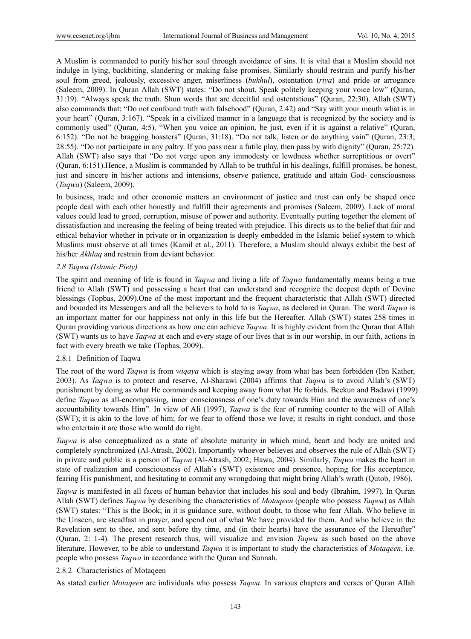A Muslim is commanded to purify his/her soul through avoidance of sins. It is vital that a Muslim should not indulge in lying, backbiting, slandering or making false promises. Similarly should restrain and purify his/her soul from greed, jealously, excessive anger, miserliness (*bukhul*), ostentation (*riya*) and pride or arrogance (Saleem, 2009). In Quran Allah (SWT) states: "Do not shout. Speak politely keeping your voice low" (Quran, 31:19). "Always speak the truth. Shun words that are deceitful and ostentatious" (Quran, 22:30). Allah (SWT) also commands that: "Do not confound truth with falsehood" (Quran, 2:42) and "Say with your mouth what is in your heart" (Quran, 3:167). "Speak in a civilized manner in a language that is recognized by the society and is commonly used" (Quran, 4:5). "When you voice an opinion, be just, even if it is against a relative" (Quran, 6:152). "Do not be bragging boasters" (Quran, 31:18). "Do not talk, listen or do anything vain" (Quran, 23:3; 28:55). "Do not participate in any paltry. If you pass near a futile play, then pass by with dignity" (Quran, 25:72). Allah (SWT) also says that "Do not verge upon any immodesty or lewdness whether surreptitious or overt" (Quran, 6:151).Hence, a Muslim is commanded by Allah to be truthful in his dealings, fulfill promises, be honest, just and sincere in his/her actions and intensions, observe patience, gratitude and attain God- consciousness (*Taqwa*) (Saleem, 2009).

In business, trade and other economic matters an environment of justice and trust can only be shaped once people deal with each other honestly and fulfill their agreements and promises (Saleem, 2009). Lack of moral values could lead to greed, corruption, misuse of power and authority. Eventually putting together the element of dissatisfaction and increasing the feeling of being treated with prejudice. This directs us to the belief that fair and ethical behavior whether in private or in organization is deeply embedded in the Islamic belief system to which Muslims must observe at all times (Kamil et al., 2011). Therefore, a Muslim should always exhibit the best of his/her *Akhlaq* and restrain from deviant behavior.

# *2.8 Taqwa (Islamic Piety)*

The spirit and meaning of life is found in *Taqwa* and living a life of *Taqwa* fundamentally means being a true friend to Allah (SWT) and possessing a heart that can understand and recognize the deepest depth of Devine blessings (Topbas, 2009).One of the most important and the frequent characteristic that Allah (SWT) directed and bounded its Messengers and all the believers to hold to is *Taqwa*, as declared in Quran. The word *Taqwa* is an important matter for our happiness not only in this life but the Hereafter. Allah (SWT) states 258 times in Quran providing various directions as how one can achieve *Taqwa*. It is highly evident from the Quran that Allah (SWT) wants us to have *Taqwa* at each and every stage of our lives that is in our worship, in our faith, actions in fact with every breath we take (Topbas, 2009).

# 2.8.1 Definition of Taqwa

The root of the word *Taqwa* is from *wiqaya* which is staying away from what has been forbidden (Ibn Kather, 2003). As *Taqwa* is to protect and reserve, Al-Sharawi (2004) affirms that *Taqwa* is to avoid Allah's (SWT) punishment by doing as what He commands and keeping away from what He forbids. Beekun and Badawi (1999) define *Taqwa* as all-encompassing, inner consciousness of one's duty towards Him and the awareness of one's accountability towards Him". In view of Ali (1997), *Taqwa* is the fear of running counter to the will of Allah (SWT); it is akin to the love of him; for we fear to offend those we love; it results in right conduct, and those who entertain it are those who would do right.

*Taqwa* is also conceptualized as a state of absolute maturity in which mind, heart and body are united and completely synchronized (Al-Atrash, 2002). Importantly whoever believes and observes the rule of Allah (SWT) in private and public is a person of *Taqwa* (Al-Atrash, 2002; Hawa, 2004). Similarly, *Taqwa* makes the heart in state of realization and consciousness of Allah's (SWT) existence and presence, hoping for His acceptance, fearing His punishment, and hesitating to commit any wrongdoing that might bring Allah's wrath (Qutob, 1986).

*Taqwa* is manifested in all facets of human behavior that includes his soul and body (Ibrahim, 1997). In Quran Allah (SWT) defines *Taqwa* by describing the characteristics of *Motaqeen* (people who possess *Taqwa*) as Allah (SWT) states: "This is the Book; in it is guidance sure, without doubt, to those who fear Allah. Who believe in the Unseen, are steadfast in prayer, and spend out of what We have provided for them. And who believe in the Revelation sent to thee, and sent before thy time, and (in their hearts) have the assurance of the Hereafter" (Quran, 2: 1-4). The present research thus, will visualize and envision *Taqwa* as such based on the above literature. However, to be able to understand *Taqwa* it is important to study the characteristics of *Motaqeen*, i.e. people who possess *Taqwa* in accordance with the Quran and Sunnah.

#### 2.8.2 Characteristics of Motaqeen

As stated earlier *Motaqeen* are individuals who possess *Taqwa*. In various chapters and verses of Quran Allah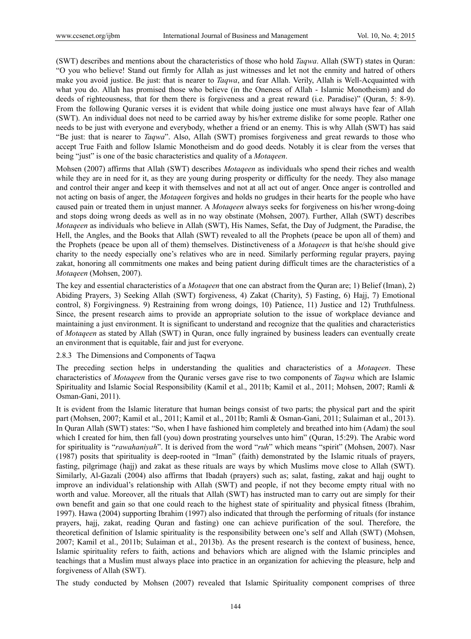(SWT) describes and mentions about the characteristics of those who hold *Taqwa*. Allah (SWT) states in Quran: "O you who believe! Stand out firmly for Allah as just witnesses and let not the enmity and hatred of others make you avoid justice. Be just: that is nearer to *Taqwa*, and fear Allah. Verily, Allah is Well-Acquainted with what you do. Allah has promised those who believe (in the Oneness of Allah - Islamic Monotheism) and do deeds of righteousness, that for them there is forgiveness and a great reward (i.e. Paradise)" (Quran, 5: 8-9). From the following Quranic verses it is evident that while doing justice one must always have fear of Allah (SWT). An individual does not need to be carried away by his/her extreme dislike for some people. Rather one needs to be just with everyone and everybody, whether a friend or an enemy. This is why Allah (SWT) has said "Be just: that is nearer to *Taqwa*". Also, Allah (SWT) promises forgiveness and great rewards to those who accept True Faith and follow Islamic Monotheism and do good deeds. Notably it is clear from the verses that being "just" is one of the basic characteristics and quality of a *Motaqeen*.

Mohsen (2007) affirms that Allah (SWT) describes *Motaqeen* as individuals who spend their riches and wealth while they are in need for it, as they are young during prosperity or difficulty for the needy. They also manage and control their anger and keep it with themselves and not at all act out of anger. Once anger is controlled and not acting on basis of anger, the *Motaqeen* forgives and holds no grudges in their hearts for the people who have caused pain or treated them in unjust manner. A *Motaqeen* always seeks for forgiveness on his/her wrong-doing and stops doing wrong deeds as well as in no way obstinate (Mohsen, 2007). Further, Allah (SWT) describes *Motaqeen* as individuals who believe in Allah (SWT), His Names, Sefat, the Day of Judgment, the Paradise, the Hell, the Angles, and the Books that Allah (SWT) revealed to all the Prophets (peace be upon all of them) and the Prophets (peace be upon all of them) themselves. Distinctiveness of a *Motaqeen* is that he/she should give charity to the needy especially one's relatives who are in need. Similarly performing regular prayers, paying zakat, honoring all commitments one makes and being patient during difficult times are the characteristics of a *Motaqeen* (Mohsen, 2007).

The key and essential characteristics of a *Motaqeen* that one can abstract from the Quran are; 1) Belief (Iman), 2) Abiding Prayers, 3) Seeking Allah (SWT) forgiveness, 4) Zakat (Charity), 5) Fasting, 6) Hajj, 7) Emotional control, 8) Forgivingness. 9) Restraining from wrong doings, 10) Patience, 11) Justice and 12) Truthfulness. Since, the present research aims to provide an appropriate solution to the issue of workplace deviance and maintaining a just environment. It is significant to understand and recognize that the qualities and characteristics of *Motaqeen* as stated by Allah (SWT) in Quran, once fully ingrained by business leaders can eventually create an environment that is equitable, fair and just for everyone.

#### 2.8.3 The Dimensions and Components of Taqwa

The preceding section helps in understanding the qualities and characteristics of a *Motaqeen*. These characteristics of *Motaqeen* from the Quranic verses gave rise to two components of *Taqwa* which are Islamic Spirituality and Islamic Social Responsibility (Kamil et al., 2011b; Kamil et al., 2011; Mohsen, 2007; Ramli & Osman-Gani, 2011).

It is evident from the Islamic literature that human beings consist of two parts; the physical part and the spirit part (Mohsen, 2007; Kamil et al., 2011; Kamil et al., 2011b; Ramli & Osman-Gani, 2011; Sulaiman et al., 2013). In Quran Allah (SWT) states: "So, when I have fashioned him completely and breathed into him (Adam) the soul which I created for him, then fall (you) down prostrating yourselves unto him" (Quran, 15:29). The Arabic word for spirituality is "*rawahaniyah*". It is derived from the word "*ruh*" which means "spirit" (Mohsen, 2007). Nasr (1987) posits that spirituality is deep-rooted in "Iman" (faith) demonstrated by the Islamic rituals of prayers, fasting, pilgrimage (hajj) and zakat as these rituals are ways by which Muslims move close to Allah (SWT). Similarly, Al-Gazali (2004) also affirms that Ibadah (prayers) such as; salat, fasting, zakat and hajj ought to improve an individual's relationship with Allah (SWT) and people, if not they become empty ritual with no worth and value. Moreover, all the rituals that Allah (SWT) has instructed man to carry out are simply for their own benefit and gain so that one could reach to the highest state of spirituality and physical fitness (Ibrahim, 1997). Hawa (2004) supporting Ibrahim (1997) also indicated that through the performing of rituals (for instance prayers, hajj, zakat, reading Quran and fasting) one can achieve purification of the soul. Therefore, the theoretical definition of Islamic spirituality is the responsibility between one's self and Allah (SWT) (Mohsen, 2007; Kamil et al., 2011b; Sulaiman et al., 2013b). As the present research is the context of business, hence, Islamic spirituality refers to faith, actions and behaviors which are aligned with the Islamic principles and teachings that a Muslim must always place into practice in an organization for achieving the pleasure, help and forgiveness of Allah (SWT).

The study conducted by Mohsen (2007) revealed that Islamic Spirituality component comprises of three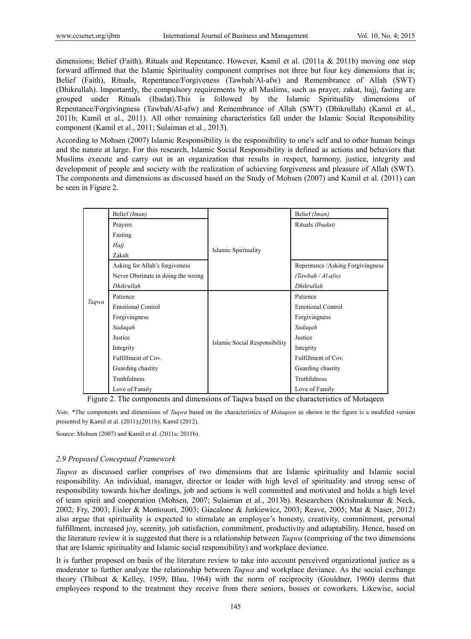dimensions; Belief (Faith), Rituals and Repentance. However, Kamil et al. (2011a & 2011b) moving one step forward affirmed that the Islamic Spirituality component comprises not three but four key dimensions that is; Belief (Faith), Rituals, Repentance/Forgiveness (Tawbah/Al-afw) and Remembrance of Allah (SWT) (Dhikrullah). Importantly, the compulsory requirements by all Muslims, such as prayer, zakat, hajj, fasting are grouped under Rituals (Ibadat).This is followed by the Islamic Spirituality dimensions of Repentance/Forgivingness (Tawbah/Al-afw) and Remembrance of Allah (SWT) (Dhikrullah) (Kamil et al., 2011b; Kamil et al., 2011). All other remaining characteristics fall under the Islamic Social Responsibility component (Kamil et al., 2011; Sulaiman et al., 2013).

According to Mohsen (2007) Islamic Responsibility is the responsibility to one's self and to other human beings and the nature at large. For this research, Islamic Social Responsibility is defined as actions and behaviors that Muslims execute and carry out in an organization that results in respect, harmony, justice, integrity and development of people and society with the realization of achieving forgiveness and pleasure of Allah (SWT). The components and dimensions as discussed based on the Study of Mohsen (2007) and Kamil et al. (2011) can be seen in Figure 2.

|       | Belief (Iman)                      |                               | Belief (Iman)                    |
|-------|------------------------------------|-------------------------------|----------------------------------|
| Taqwa | Prayers                            | Islamic Spirituality          | Rituals (Ibadat)                 |
|       | Fasting                            |                               |                                  |
|       | Hajj                               |                               |                                  |
|       | Zakah                              |                               |                                  |
|       | Asking for Allah's forgiveness     |                               | Repentance /Asking Forgivingness |
|       | Never Obstinate in doing the wrong |                               | $(Tawbah / Al-afw)$              |
|       | Dhikrullah                         |                               | Dhikrullah                       |
|       | Patience                           |                               | Patience                         |
|       | <b>Emotional Control</b>           | Islamic Social Responsibility | <b>Emotional Control</b>         |
|       | Forgivingness                      |                               | Forgivingness                    |
|       | Sadaqah                            |                               | Sadaqah                          |
|       | Justice                            |                               | Justice                          |
|       | Integrity                          |                               | Integrity                        |
|       | Fulfillment of Cov.                |                               | Fulfillment of Cov.              |
|       | Guarding chastity                  |                               | Guarding chastity                |
|       | Truthfulness                       |                               | Truthfulness                     |
|       | Love of Family                     |                               | Love of Family                   |

Figure 2. The components and dimensions of Taqwa based on the characteristics of Motaqeen

*Note.* \*The components and dimensions of *Taqwa* based on the characteristics of *Motaqeen* as shown in the figure is a modified version presented by Kamil et al. (2011);(2011b); Kamil (2012).

Source: Mohsen (2007) and Kamil et al. (2011a; 2011b).

# *2.9 Proposed Conceptual Framework*

*Taqwa* as discussed earlier comprises of two dimensions that are Islamic spirituality and Islamic social responsibility. An individual, manager, director or leader with high level of spirituality and strong sense of responsibility towards his/her dealings, job and actions is well committed and motivated and holds a high level of team spirit and cooperation (Mohsen, 2007; Sulaiman et al., 2013b). Researchers (Krishnakumar & Neck, 2002; Fry, 2003; Eisler & Montouori, 2003; Giacalone & Jurkiewicz, 2003; Reave, 2005; Mat & Naser, 2012) also argue that spirituality is expected to stimulate an employee's honesty, creativity, commitment, personal fulfillment, increased joy, serenity, job satisfaction, commitment, productivity and adaptability. Hence, based on the literature review it is suggested that there is a relationship between *Taqwa* (comprising of the two dimensions that are Islamic spirituality and Islamic social responsibility) and workplace deviance.

It is further proposed on basis of the literature review to take into account perceived organizational justice as a moderator to further analyze the relationship between *Taqwa* and workplace deviance. As the social exchange theory (Thibuat & Kelley, 1959; Blau, 1964) with the norm of reciprocity (Gouldner, 1960) deems that employees respond to the treatment they receive from there seniors, bosses or coworkers. Likewise, social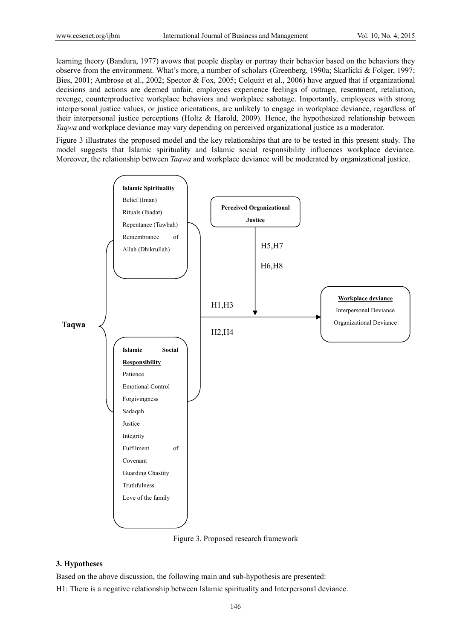learning theory (Bandura, 1977) avows that people display or portray their behavior based on the behaviors they observe from the environment. What's more, a number of scholars (Greenberg, 1990a; Skarlicki & Folger, 1997; Bies, 2001; Ambrose et al., 2002; Spector & Fox, 2005; Colquitt et al., 2006) have argued that if organizational decisions and actions are deemed unfair, employees experience feelings of outrage, resentment, retaliation, revenge, counterproductive workplace behaviors and workplace sabotage. Importantly, employees with strong interpersonal justice values, or justice orientations, are unlikely to engage in workplace deviance, regardless of their interpersonal justice perceptions (Holtz & Harold, 2009). Hence, the hypothesized relationship between *Taqwa* and workplace deviance may vary depending on perceived organizational justice as a moderator.

Figure 3 illustrates the proposed model and the key relationships that are to be tested in this present study. The model suggests that Islamic spirituality and Islamic social responsibility influences workplace deviance. Moreover, the relationship between *Taqwa* and workplace deviance will be moderated by organizational justice.



Figure 3. Proposed research framework

# **3. Hypotheses**

Based on the above discussion, the following main and sub-hypothesis are presented:

H1: There is a negative relationship between Islamic spirituality and Interpersonal deviance.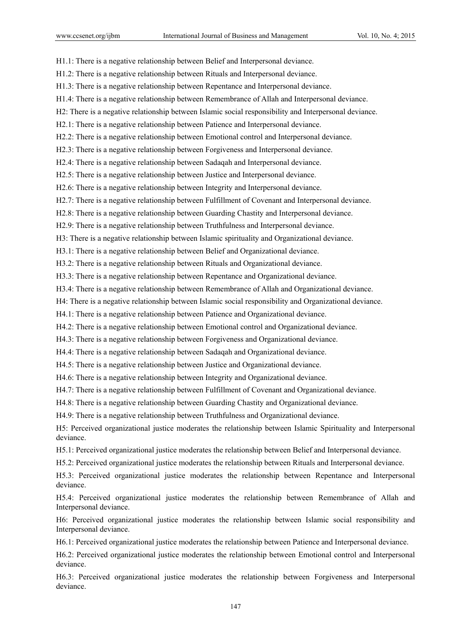H1.1: There is a negative relationship between Belief and Interpersonal deviance.

H1.2: There is a negative relationship between Rituals and Interpersonal deviance.

H1.3: There is a negative relationship between Repentance and Interpersonal deviance.

H1.4: There is a negative relationship between Remembrance of Allah and Interpersonal deviance.

H2: There is a negative relationship between Islamic social responsibility and Interpersonal deviance.

H2.1: There is a negative relationship between Patience and Interpersonal deviance.

H2.2: There is a negative relationship between Emotional control and Interpersonal deviance.

H2.3: There is a negative relationship between Forgiveness and Interpersonal deviance.

H2.4: There is a negative relationship between Sadaqah and Interpersonal deviance.

H2.5: There is a negative relationship between Justice and Interpersonal deviance.

H2.6: There is a negative relationship between Integrity and Interpersonal deviance.

H2.7: There is a negative relationship between Fulfillment of Covenant and Interpersonal deviance.

H2.8: There is a negative relationship between Guarding Chastity and Interpersonal deviance.

H2.9: There is a negative relationship between Truthfulness and Interpersonal deviance.

H3: There is a negative relationship between Islamic spirituality and Organizational deviance.

H3.1: There is a negative relationship between Belief and Organizational deviance.

H3.2: There is a negative relationship between Rituals and Organizational deviance.

H3.3: There is a negative relationship between Repentance and Organizational deviance.

H3.4: There is a negative relationship between Remembrance of Allah and Organizational deviance.

H4: There is a negative relationship between Islamic social responsibility and Organizational deviance.

H4.1: There is a negative relationship between Patience and Organizational deviance.

H4.2: There is a negative relationship between Emotional control and Organizational deviance.

H4.3: There is a negative relationship between Forgiveness and Organizational deviance.

H4.4: There is a negative relationship between Sadaqah and Organizational deviance.

H4.5: There is a negative relationship between Justice and Organizational deviance.

H4.6: There is a negative relationship between Integrity and Organizational deviance.

H4.7: There is a negative relationship between Fulfillment of Covenant and Organizational deviance.

H4.8: There is a negative relationship between Guarding Chastity and Organizational deviance.

H4.9: There is a negative relationship between Truthfulness and Organizational deviance.

H5: Perceived organizational justice moderates the relationship between Islamic Spirituality and Interpersonal deviance.

H5.1: Perceived organizational justice moderates the relationship between Belief and Interpersonal deviance.

H5.2: Perceived organizational justice moderates the relationship between Rituals and Interpersonal deviance.

H5.3: Perceived organizational justice moderates the relationship between Repentance and Interpersonal deviance.

H5.4: Perceived organizational justice moderates the relationship between Remembrance of Allah and Interpersonal deviance.

H6: Perceived organizational justice moderates the relationship between Islamic social responsibility and Interpersonal deviance.

H6.1: Perceived organizational justice moderates the relationship between Patience and Interpersonal deviance.

H6.2: Perceived organizational justice moderates the relationship between Emotional control and Interpersonal deviance.

H6.3: Perceived organizational justice moderates the relationship between Forgiveness and Interpersonal deviance.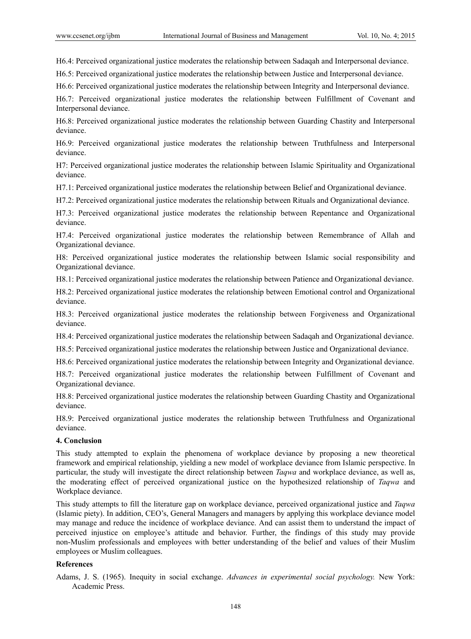H6.4: Perceived organizational justice moderates the relationship between Sadaqah and Interpersonal deviance.

H6.5: Perceived organizational justice moderates the relationship between Justice and Interpersonal deviance.

H6.6: Perceived organizational justice moderates the relationship between Integrity and Interpersonal deviance.

H6.7: Perceived organizational justice moderates the relationship between Fulfillment of Covenant and Interpersonal deviance.

H6.8: Perceived organizational justice moderates the relationship between Guarding Chastity and Interpersonal deviance.

H6.9: Perceived organizational justice moderates the relationship between Truthfulness and Interpersonal deviance.

H7: Perceived organizational justice moderates the relationship between Islamic Spirituality and Organizational deviance.

H7.1: Perceived organizational justice moderates the relationship between Belief and Organizational deviance.

H7.2: Perceived organizational justice moderates the relationship between Rituals and Organizational deviance.

H7.3: Perceived organizational justice moderates the relationship between Repentance and Organizational deviance.

H7.4: Perceived organizational justice moderates the relationship between Remembrance of Allah and Organizational deviance.

H8: Perceived organizational justice moderates the relationship between Islamic social responsibility and Organizational deviance.

H8.1: Perceived organizational justice moderates the relationship between Patience and Organizational deviance.

H8.2: Perceived organizational justice moderates the relationship between Emotional control and Organizational deviance.

H8.3: Perceived organizational justice moderates the relationship between Forgiveness and Organizational deviance.

H8.4: Perceived organizational justice moderates the relationship between Sadaqah and Organizational deviance.

H8.5: Perceived organizational justice moderates the relationship between Justice and Organizational deviance.

H8.6: Perceived organizational justice moderates the relationship between Integrity and Organizational deviance.

H8.7: Perceived organizational justice moderates the relationship between Fulfillment of Covenant and Organizational deviance.

H8.8: Perceived organizational justice moderates the relationship between Guarding Chastity and Organizational deviance.

H8.9: Perceived organizational justice moderates the relationship between Truthfulness and Organizational deviance.

## **4. Conclusion**

This study attempted to explain the phenomena of workplace deviance by proposing a new theoretical framework and empirical relationship, yielding a new model of workplace deviance from Islamic perspective. In particular, the study will investigate the direct relationship between *Taqwa* and workplace deviance, as well as, the moderating effect of perceived organizational justice on the hypothesized relationship of *Taqwa* and Workplace deviance.

This study attempts to fill the literature gap on workplace deviance, perceived organizational justice and *Taqwa*  (Islamic piety). In addition, CEO's, General Managers and managers by applying this workplace deviance model may manage and reduce the incidence of workplace deviance. And can assist them to understand the impact of perceived injustice on employee's attitude and behavior. Further, the findings of this study may provide non-Muslim professionals and employees with better understanding of the belief and values of their Muslim employees or Muslim colleagues.

# **References**

Adams, J. S. (1965). Inequity in social exchange. *Advances in experimental social psychology.* New York: Academic Press.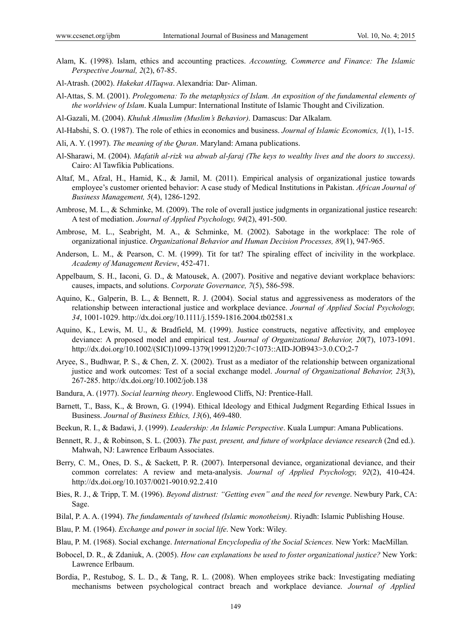- Alam, K. (1998). Islam, ethics and accounting practices. *Accounting, Commerce and Finance: The Islamic Perspective Journal, 2*(2), 67-85.
- Al-Atrash. (2002). *Hakekat AlTaqwa*. Alexandria: Dar- Aliman.
- Al-Attas, S. M. (2001). *Prolegomena: To the metaphysics of Islam. An exposition of the fundamental elements of the worldview of Islam*. Kuala Lumpur: International Institute of Islamic Thought and Civilization.
- Al-Gazali, M. (2004). *Khuluk Almuslim (Muslim's Behavior)*. Damascus: Dar Alkalam.
- Al-Habshi, S. O. (1987). The role of ethics in economics and business. *Journal of Islamic Economics, 1*(1), 1-15.
- Ali, A. Y. (1997). *The meaning of the Quran*. Maryland: Amana publications.
- Al-Sharawi, M. (2004). *Mafatih al-rizk wa abwab al-faraj (The keys to wealthy lives and the doors to success)*. Cairo: Al Tawfikia Publications.
- Altaf, M., Afzal, H., Hamid, K., & Jamil, M. (2011). Empirical analysis of organizational justice towards employee's customer oriented behavior: A case study of Medical Institutions in Pakistan. *African Journal of Business Management, 5*(4), 1286-1292.
- Ambrose, M. L., & Schminke, M. (2009). The role of overall justice judgments in organizational justice research: A test of mediation. *Journal of Applied Psychology, 94*(2), 491-500.
- Ambrose, M. L., Seabright, M. A., & Schminke, M. (2002). Sabotage in the workplace: The role of organizational injustice. *Organizational Behavior and Human Decision Processes, 89*(1), 947-965.
- Anderson, L. M., & Pearson, C. M. (1999). Tit for tat? The spiraling effect of incivility in the workplace. *Academy of Management Review*, 452-471.
- Appelbaum, S. H., Iaconi, G. D., & Matousek, A. (2007). Positive and negative deviant workplace behaviors: causes, impacts, and solutions. *Corporate Governance, 7*(5), 586-598.
- Aquino, K., Galperin, B. L., & Bennett, R. J. (2004). Social status and aggressiveness as moderators of the relationship between interactional justice and workplace deviance. *Journal of Applied Social Psychology, 34*, 1001-1029. http://dx.doi.org/10.1111/j.1559-1816.2004.tb02581.x
- Aquino, K., Lewis, M. U., & Bradfield, M. (1999). Justice constructs, negative affectivity, and employee deviance: A proposed model and empirical test. *Journal of Organizational Behavior, 20*(7), 1073-1091. http://dx.doi.org/10.1002/(SICI)1099-1379(199912)20:7<1073::AID-JOB943>3.0.CO;2-7
- Aryee, S., Budhwar, P. S., & Chen, Z. X. (2002). Trust as a mediator of the relationship between organizational justice and work outcomes: Test of a social exchange model. *Journal of Organizational Behavior, 23*(3), 267-285. http://dx.doi.org/10.1002/job.138
- Bandura, A. (1977). *Social learning theory*. Englewood Cliffs, NJ: Prentice-Hall.
- Barnett, T., Bass, K., & Brown, G. (1994). Ethical Ideology and Ethical Judgment Regarding Ethical Issues in Business. *Journal of Business Ethics, 13*(6), 469-480.
- Beekun, R. I., & Badawi, J. (1999). *Leadership: An Islamic Perspective*. Kuala Lumpur: Amana Publications.
- Bennett, R. J., & Robinson, S. L. (2003). *The past, present, and future of workplace deviance research* (2nd ed.). Mahwah, NJ: Lawrence Erlbaum Associates.
- Berry, C. M., Ones, D. S., & Sackett, P. R. (2007). Interpersonal deviance, organizational deviance, and their common correlates: A review and meta-analysis. *Journal of Applied Psychology, 92*(2), 410-424. http://dx.doi.org/10.1037/0021-9010.92.2.410
- Bies, R. J., & Tripp, T. M. (1996). *Beyond distrust: "Getting even" and the need for revenge*. Newbury Park, CA: Sage.
- Bilal, P. A. A. (1994). *The fundamentals of tawheed (Islamic monotheism)*. Riyadh: Islamic Publishing House.
- Blau, P. M. (1964). *Exchange and power in social life*. New York: Wiley.
- Blau, P. M. (1968). Social exchange. *International Encyclopedia of the Social Sciences.* New York: MacMillan*.*
- Bobocel, D. R., & Zdaniuk, A. (2005). *How can explanations be used to foster organizational justice?* New York: Lawrence Erlbaum.
- Bordia, P., Restubog, S. L. D., & Tang, R. L. (2008). When employees strike back: Investigating mediating mechanisms between psychological contract breach and workplace deviance. *Journal of Applied*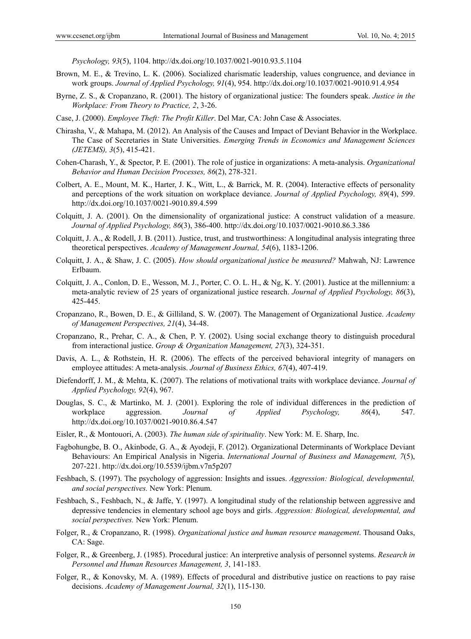*Psychology, 93*(5), 1104. http://dx.doi.org/10.1037/0021-9010.93.5.1104

- Brown, M. E., & Trevino, L. K. (2006). Socialized charismatic leadership, values congruence, and deviance in work groups. *Journal of Applied Psychology, 91*(4), 954. http://dx.doi.org/10.1037/0021-9010.91.4.954
- Byrne, Z. S., & Cropanzano, R. (2001). The history of organizational justice: The founders speak. *Justice in the Workplace: From Theory to Practice, 2*, 3-26.
- Case, J. (2000). *Employee Theft: The Profit Killer*. Del Mar, CA: John Case & Associates.
- Chirasha, V., & Mahapa, M. (2012). An Analysis of the Causes and Impact of Deviant Behavior in the Workplace. The Case of Secretaries in State Universities. *Emerging Trends in Economics and Management Sciences (JETEMS), 3*(5), 415-421.
- Cohen-Charash, Y., & Spector, P. E. (2001). The role of justice in organizations: A meta-analysis. *Organizational Behavior and Human Decision Processes, 86*(2), 278-321.
- Colbert, A. E., Mount, M. K., Harter, J. K., Witt, L., & Barrick, M. R. (2004). Interactive effects of personality and perceptions of the work situation on workplace deviance. *Journal of Applied Psychology, 89*(4), 599. http://dx.doi.org/10.1037/0021-9010.89.4.599
- Colquitt, J. A. (2001). On the dimensionality of organizational justice: A construct validation of a measure. *Journal of Applied Psychology, 86*(3), 386-400. http://dx.doi.org/10.1037/0021-9010.86.3.386
- Colquitt, J. A., & Rodell, J. B. (2011). Justice, trust, and trustworthiness: A longitudinal analysis integrating three theoretical perspectives. *Academy of Management Journal, 54*(6), 1183-1206.
- Colquitt, J. A., & Shaw, J. C. (2005). *How should organizational justice be measured?* Mahwah, NJ: Lawrence Erlbaum.
- Colquitt, J. A., Conlon, D. E., Wesson, M. J., Porter, C. O. L. H., & Ng, K. Y. (2001). Justice at the millennium: a meta-analytic review of 25 years of organizational justice research. *Journal of Applied Psychology, 86*(3), 425-445.
- Cropanzano, R., Bowen, D. E., & Gilliland, S. W. (2007). The Management of Organizational Justice. *Academy of Management Perspectives, 21*(4), 34-48.
- Cropanzano, R., Prehar, C. A., & Chen, P. Y. (2002). Using social exchange theory to distinguish procedural from interactional justice. *Group & Organization Management, 27*(3), 324-351.
- Davis, A. L., & Rothstein, H. R. (2006). The effects of the perceived behavioral integrity of managers on employee attitudes: A meta-analysis. *Journal of Business Ethics, 67*(4), 407-419.
- Diefendorff, J. M., & Mehta, K. (2007). The relations of motivational traits with workplace deviance. *Journal of Applied Psychology, 92*(4), 967.
- Douglas, S. C., & Martinko, M. J. (2001). Exploring the role of individual differences in the prediction of workplace aggression. *Journal of Applied Psychology, 86*(4), 547. http://dx.doi.org/10.1037/0021-9010.86.4.547
- Eisler, R., & Montouori, A. (2003). *The human side of spirituality*. New York: M. E. Sharp, Inc.
- Fagbohungbe, B. O., Akinbode, G. A., & Ayodeji, F. (2012). Organizational Determinants of Workplace Deviant Behaviours: An Empirical Analysis in Nigeria. *International Journal of Business and Management, 7*(5), 207-221. http://dx.doi.org/10.5539/ijbm.v7n5p207
- Feshbach, S. (1997). The psychology of aggression: Insights and issues. *Aggression: Biological, developmental, and social perspectives.* New York: Plenum.
- Feshbach, S., Feshbach, N., & Jaffe, Y. (1997). A longitudinal study of the relationship between aggressive and depressive tendencies in elementary school age boys and girls. *Aggression: Biological, developmental, and social perspectives.* New York: Plenum.
- Folger, R., & Cropanzano, R. (1998). *Organizational justice and human resource management*. Thousand Oaks, CA: Sage.
- Folger, R., & Greenberg, J. (1985). Procedural justice: An interpretive analysis of personnel systems. *Research in Personnel and Human Resources Management, 3*, 141-183.
- Folger, R., & Konovsky, M. A. (1989). Effects of procedural and distributive justice on reactions to pay raise decisions. *Academy of Management Journal, 32*(1), 115-130.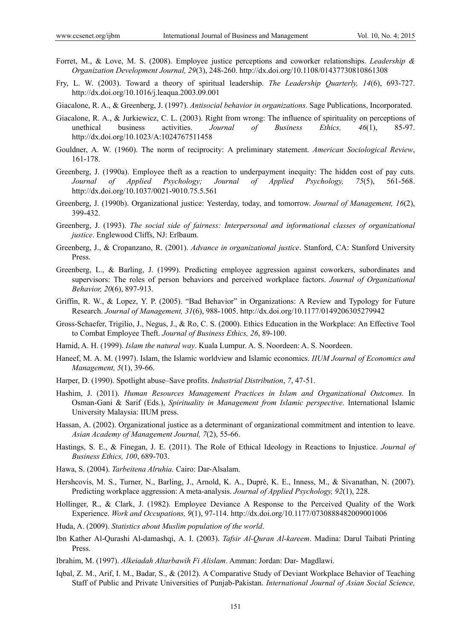- Forret, M., & Love, M. S. (2008). Employee justice perceptions and coworker relationships. *Leadership & Organization Development Journal, 29*(3), 248-260. http://dx.doi.org/10.1108/01437730810861308
- Fry, L. W. (2003). Toward a theory of spiritual leadership. *The Leadership Quarterly, 14*(6), 693-727. http://dx.doi.org/10.1016/j.leaqua.2003.09.001

Giacalone, R. A., & Greenberg, J. (1997). *Antisocial behavior in organizations*. Sage Publications, Incorporated.

- Giacalone, R. A., & Jurkiewicz, C. L. (2003). Right from wrong: The influence of spirituality on perceptions of unethical business activities. *Journal of Business Ethics, 46*(1), 85-97. http://dx.doi.org/10.1023/A:1024767511458
- Gouldner, A. W. (1960). The norm of reciprocity: A preliminary statement. *American Sociological Review*, 161-178.
- Greenberg, J. (1990a). Employee theft as a reaction to underpayment inequity: The hidden cost of pay cuts. *Journal of Applied Psychology; Journal of Applied Psychology, 75*(5), 561-568. http://dx.doi.org/10.1037/0021-9010.75.5.561
- Greenberg, J. (1990b). Organizational justice: Yesterday, today, and tomorrow. *Journal of Management, 16*(2), 399-432.
- Greenberg, J. (1993). *The social side of fairness: Interpersonal and informational classes of organizational justice*. Englewood Cliffs, NJ: Erlbaum.
- Greenberg, J., & Cropanzano, R. (2001). *Advance in organizational justice*. Stanford, CA: Stanford University Press.
- Greenberg, L., & Barling, J. (1999). Predicting employee aggression against coworkers, subordinates and supervisors: The roles of person behaviors and perceived workplace factors. *Journal of Organizational Behavior, 20*(6), 897-913.
- Griffin, R. W., & Lopez, Y. P. (2005). "Bad Behavior" in Organizations: A Review and Typology for Future Research. *Journal of Management, 31*(6), 988-1005. http://dx.doi.org/10.1177/0149206305279942
- Gross-Schaefer, Trigilio, J., Negus, J., & Ro, C. S. (2000). Ethics Education in the Workplace: An Effective Tool to Combat Employee Theft. *Journal of Business Ethics, 26*, 89-100.
- Hamid, A. H. (1999). *Islam the natural way*. Kuala Lumpur. A. S. Noordeen: A. S. Noordeen.
- Haneef, M. A. M. (1997). Islam, the Islamic worldview and Islamic economics. *IIUM Journal of Economics and Management, 5*(1), 39-66.
- Harper, D. (1990). Spotlight abuse–Save profits. *Industrial Distribution*, *7*, 47-51.
- Hashim, J. (2011). *Human Resources Management Practices in Islam and Organizational Outcomes.* In Osman-Gani & Sarif (Eds.), *Spirituality in Management from Islamic perspective*. International Islamic University Malaysia: IIUM press.
- Hassan, A. (2002). Organizational justice as a determinant of organizational commitment and intention to leave. *Asian Academy of Management Journal, 7*(2), 55-66.
- Hastings, S. E., & Finegan, J. E. (2011). The Role of Ethical Ideology in Reactions to Injustice. *Journal of Business Ethics, 100*, 689-703.
- Hawa, S. (2004). *Tarbeitena Alruhia.* Cairo: Dar-Alsalam.
- Hershcovis, M. S., Turner, N., Barling, J., Arnold, K. A., Dupré, K. E., Inness, M., & Sivanathan, N. (2007). Predicting workplace aggression: A meta-analysis. *Journal of Applied Psychology, 92*(1), 228.
- Hollinger, R., & Clark, J. (1982). Employee Deviance A Response to the Perceived Quality of the Work Experience. *Work and Occupations, 9*(1), 97-114. http://dx.doi.org/10.1177/0730888482009001006
- Huda, A. (2009). *Statistics about Muslim population of the world*.
- Ibn Kather Al-Qurashi Al-damashqi, A. I. (2003). *Tafsir Al-Quran Al-kareem*. Madina: Darul Taibati Printing Press.
- Ibrahim, M. (1997). *Alkeiadah Altarbawih Fi Alislam*. Amman: Jordan: Dar- Magdlawi.
- Iqbal, Z. M., Arif, I. M., Badar, S., & (2012). A Comparative Study of Deviant Workplace Behavior of Teaching Staff of Public and Private Universities of Punjab-Pakistan. *International Journal of Asian Social Science,*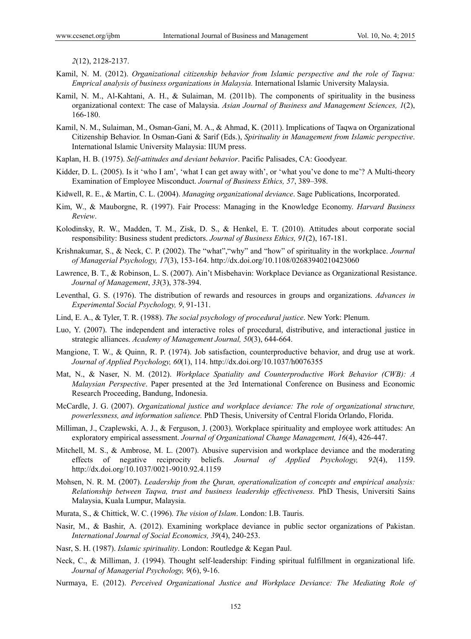*2*(12), 2128-2137.

- Kamil, N. M. (2012). *Organizational citizenship behavior from Islamic perspective and the role of Taqwa: Emprical analysis of business organizations in Malaysia.* International Islamic University Malaysia.
- Kamil, N. M., Al-Kahtani, A. H., & Sulaiman, M. (2011b). The components of spirituality in the business organizational context: The case of Malaysia. *Asian Journal of Business and Management Sciences, 1*(2), 166-180.
- Kamil, N. M., Sulaiman, M., Osman-Gani, M. A., & Ahmad, K. (2011). Implications of Taqwa on Organizational Citizenship Behavior. In Osman-Gani & Sarif (Eds.), *Spirituality in Management from Islamic perspective*. International Islamic University Malaysia: IIUM press.
- Kaplan, H. B. (1975). *Self-attitudes and deviant behavior*. Pacific Palisades, CA: Goodyear.
- Kidder, D. L. (2005). Is it 'who I am', 'what I can get away with', or 'what you've done to me'? A Multi-theory Examination of Employee Misconduct. *Journal of Business Ethics, 57*, 389–398.
- Kidwell, R. E., & Martin, C. L. (2004). *Managing organizational deviance*. Sage Publications, Incorporated.
- Kim, W., & Mauborgne, R. (1997). Fair Process: Managing in the Knowledge Economy. *Harvard Business Review*.
- Kolodinsky, R. W., Madden, T. M., Zisk, D. S., & Henkel, E. T. (2010). Attitudes about corporate social responsibility: Business student predictors. *Journal of Business Ethics, 91*(2), 167-181.
- Krishnakumar, S., & Neck, C. P. (2002). The "what","why" and "how" of spirituality in the workplace. *Journal of Managerial Psychology, 17*(3), 153-164. http://dx.doi.org/10.1108/02683940210423060
- Lawrence, B. T., & Robinson, L. S. (2007). Ain't Misbehavin: Workplace Deviance as Organizational Resistance. *Journal of Management*, *33*(3), 378-394.
- Leventhal, G. S. (1976). The distribution of rewards and resources in groups and organizations. *Advances in Experimental Social Psychology, 9*, 91-131.
- Lind, E. A., & Tyler, T. R. (1988). *The social psychology of procedural justice*. New York: Plenum.
- Luo, Y. (2007). The independent and interactive roles of procedural, distributive, and interactional justice in strategic alliances. *Academy of Management Journal, 50*(3), 644-664.
- Mangione, T. W., & Quinn, R. P. (1974). Job satisfaction, counterproductive behavior, and drug use at work. *Journal of Applied Psychology, 60*(1), 114. http://dx.doi.org/10.1037/h0076355
- Mat, N., & Naser, N. M. (2012). *Workplace Spatiality and Counterproductive Work Behavior (CWB): A Malaysian Perspective*. Paper presented at the 3rd International Conference on Business and Economic Research Proceeding, Bandung, Indonesia.
- McCardle, J. G. (2007). *Organizational justice and workplace deviance: The role of organizational structure, powerlessness, and information salience.* PhD Thesis, University of Central Florida Orlando, Florida.
- Milliman, J., Czaplewski, A. J., & Ferguson, J. (2003). Workplace spirituality and employee work attitudes: An exploratory empirical assessment. *Journal of Organizational Change Management, 16*(4), 426-447.
- Mitchell, M. S., & Ambrose, M. L. (2007). Abusive supervision and workplace deviance and the moderating effects of negative reciprocity beliefs. *Journal of Applied Psychology, 92*(4), 1159. http://dx.doi.org/10.1037/0021-9010.92.4.1159
- Mohsen, N. R. M. (2007). *Leadership from the Quran, operationalization of concepts and empirical analysis: Relationship between Taqwa, trust and business leadership effectiveness.* PhD Thesis, Universiti Sains Malaysia, Kuala Lumpur, Malaysia.
- Murata, S., & Chittick, W. C. (1996). *The vision of Islam*. London: I.B. Tauris.
- Nasir, M., & Bashir, A. (2012). Examining workplace deviance in public sector organizations of Pakistan. *International Journal of Social Economics, 39*(4), 240-253.
- Nasr, S. H. (1987). *Islamic spirituality*. London: Routledge & Kegan Paul.
- Neck, C., & Milliman, J. (1994). Thought self-leadership: Finding spiritual fulfillment in organizational life. *Journal of Managerial Psychology, 9*(6), 9-16.
- Nurmaya, E. (2012). *Perceived Organizational Justice and Workplace Deviance: The Mediating Role of*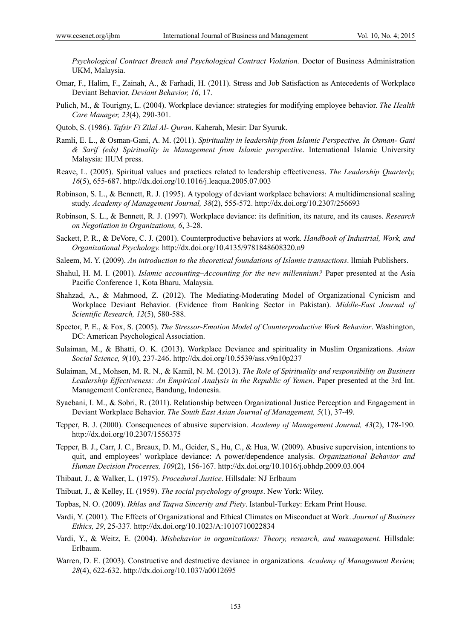*Psychological Contract Breach and Psychological Contract Violation.* Doctor of Business Administration UKM, Malaysia.

- Omar, F., Halim, F., Zainah, A., & Farhadi, H. (2011). Stress and Job Satisfaction as Antecedents of Workplace Deviant Behavior. *Deviant Behavior, 16*, 17.
- Pulich, M., & Tourigny, L. (2004). Workplace deviance: strategies for modifying employee behavior. *The Health Care Manager, 23*(4), 290-301.
- Qutob, S. (1986). *Tafsir Fi Zilal Al- Quran*. Kaherah, Mesir: Dar Syuruk.
- Ramli, E. L., & Osman-Gani, A. M. (2011). *Spirituality in leadership from Islamic Perspective. In Osman- Gani & Sarif (eds) Spirituality in Management from Islamic perspective*. International Islamic University Malaysia: IIUM press.
- Reave, L. (2005). Spiritual values and practices related to leadership effectiveness. *The Leadership Quarterly, 16*(5), 655-687. http://dx.doi.org/10.1016/j.leaqua.2005.07.003
- Robinson, S. L., & Bennett, R. J. (1995). A typology of deviant workplace behaviors: A multidimensional scaling study. *Academy of Management Journal, 38*(2), 555-572. http://dx.doi.org/10.2307/256693
- Robinson, S. L., & Bennett, R. J. (1997). Workplace deviance: its definition, its nature, and its causes. *Research on Negotiation in Organizations, 6*, 3-28.
- Sackett, P. R., & DeVore, C. J. (2001). Counterproductive behaviors at work. *Handbook of Industrial, Work, and Organizational Psychology.* http://dx.doi.org/10.4135/9781848608320.n9
- Saleem, M. Y. (2009). *An introduction to the theoretical foundations of Islamic transactions*. Ilmiah Publishers.
- Shahul, H. M. I. (2001). *Islamic accounting–Accounting for the new millennium?* Paper presented at the Asia Pacific Conference 1, Kota Bharu, Malaysia.
- Shahzad, A., & Mahmood, Z. (2012). The Mediating-Moderating Model of Organizational Cynicism and Workplace Deviant Behavior. (Evidence from Banking Sector in Pakistan). *Middle-East Journal of Scientific Research, 12*(5), 580-588.
- Spector, P. E., & Fox, S. (2005). *The Stressor-Emotion Model of Counterproductive Work Behavior*. Washington, DC: American Psychological Association.
- Sulaiman, M., & Bhatti, O. K. (2013). Workplace Deviance and spirituality in Muslim Organizations. *Asian Social Science, 9*(10), 237-246. http://dx.doi.org/10.5539/ass.v9n10p237
- Sulaiman, M., Mohsen, M. R. N., & Kamil, N. M. (2013). *The Role of Spirituality and responsibility on Business Leadership Effectiveness: An Empirical Analysis in the Republic of Yemen*. Paper presented at the 3rd Int. Management Conference, Bandung, Indonesia.
- Syaebani, I. M., & Sobri, R. (2011). Relationship between Organizational Justice Perception and Engagement in Deviant Workplace Behavior. *The South East Asian Journal of Management, 5*(1), 37-49.
- Tepper, B. J. (2000). Consequences of abusive supervision. *Academy of Management Journal, 43*(2), 178-190. http://dx.doi.org/10.2307/1556375
- Tepper, B. J., Carr, J. C., Breaux, D. M., Geider, S., Hu, C., & Hua, W. (2009). Abusive supervision, intentions to quit, and employees' workplace deviance: A power/dependence analysis. *Organizational Behavior and Human Decision Processes, 109*(2), 156-167. http://dx.doi.org/10.1016/j.obhdp.2009.03.004
- Thibaut, J., & Walker, L. (1975). *Procedural Justice*. Hillsdale: NJ Erlbaum
- Thibuat, J., & Kelley, H. (1959). *The social psychology of groups*. New York: Wiley.
- Topbas, N. O. (2009). *Ikhlas and Taqwa Sincerity and Piety*. Istanbul-Turkey: Erkam Print House.
- Vardi, Y. (2001). The Effects of Organizational and Ethical Climates on Misconduct at Work. *Journal of Business Ethics, 29*, 25-337. http://dx.doi.org/10.1023/A:1010710022834
- Vardi, Y., & Weitz, E. (2004). *Misbehavior in organizations: Theory, research, and management*. Hillsdale: Erlbaum.
- Warren, D. E. (2003). Constructive and destructive deviance in organizations. *Academy of Management Review, 28*(4), 622-632. http://dx.doi.org/10.1037/a0012695